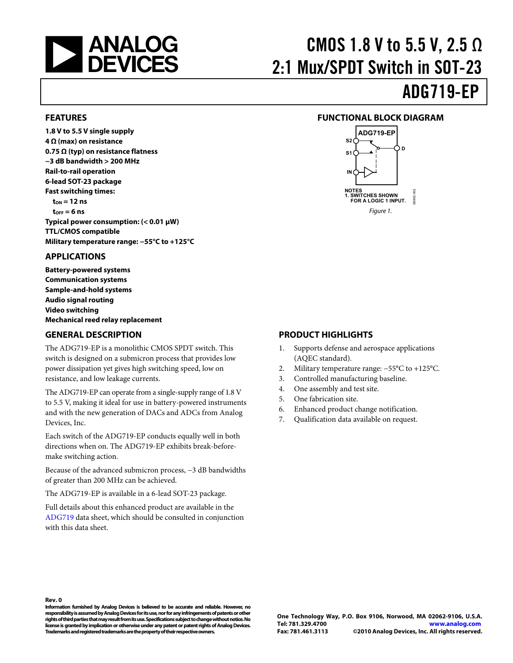<span id="page-0-0"></span>

# CMOS 1.8 V to 5.5 V, 2.5  $\Omega$ 2:1 Mux/SPDT Switch in SOT-23

# ADG719-EP

#### **FEATURES**

**1.8 V to 5.5 V single supply 4 Ω (max) on resistance 0.75 Ω (typ) on resistance flatness −3 dB bandwidth > 200 MHz Rail-to-rail operation 6-lead SOT-23 package Fast switching times:**   $\tan = 12$  ns **tOFF = 6 ns Typical power consumption: (< 0.01 μW) TTL/CMOS compatible Military temperature range: −55°C to +125°C** 

#### **APPLICATIONS**

**Battery-powered systems Communication systems Sample-and-hold systems Audio signal routing Video switching Mechanical reed relay replacement** 

#### **GENERAL DESCRIPTION**

The ADG719-EP is a monolithic CMOS SPDT switch. This switch is designed on a submicron process that provides low power dissipation yet gives high switching speed, low on resistance, and low leakage currents.

The ADG719-EP can operate from a single-supply range of 1.8 V to 5.5 V, making it ideal for use in battery-powered instruments and with the new generation of DACs and ADCs from Analog Devices, Inc.

Each switch of the ADG719-EP conducts equally well in both directions when on. The ADG719-EP exhibits break-beforemake switching action.

Because of the advanced submicron process, −3 dB bandwidths of greater than 200 MHz can be achieved.

The ADG719-EP is available in a 6-lead SOT-23 package.

Full details about this enhanced product are available in the [ADG719](http://www.analog.com/ADG719) data sheet, which should be consulted in conjunction with this data sheet.

#### **FUNCTIONAL BLOCK DIAGRAM**



#### **PRODUCT HIGHLIGHTS**

- 1. Supports defense and aerospace applications (AQEC standard).
- 2. Military temperature range: −55°C to +125°C.
- 3. Controlled manufacturing baseline.
- 4. One assembly and test site.
- 5. One fabrication site.
- 6. Enhanced product change notification.
- 7. Qualification data available on request.

**Rev. 0** 

**Information furnished by Analog Devices is believed to be accurate and reliable. However, no responsibility is assumed by Analog Devices for its use, nor for any infringements of patents or other rights of third parties that may result from its use. Specifications subject to change without notice. No license is granted by implication or otherwise under any patent or patent rights of Analog Devices. Trademarks and registered trademarks are the property of their respective owners.**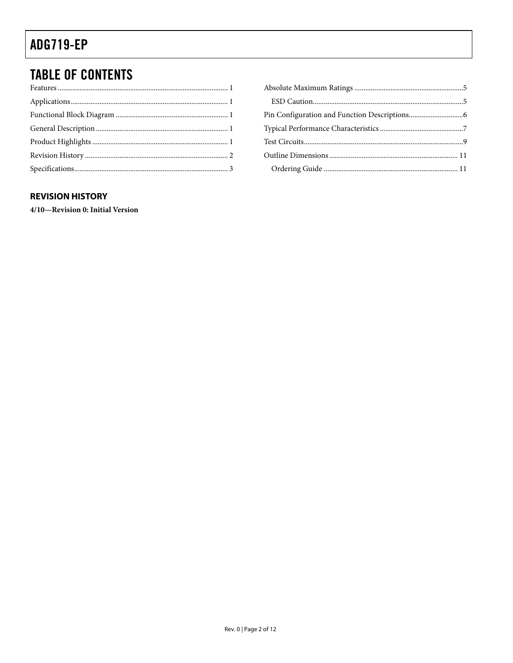# <span id="page-1-0"></span>**TABLE OF CONTENTS**

#### **REVISION HISTORY**

4/10-Revision 0: Initial Version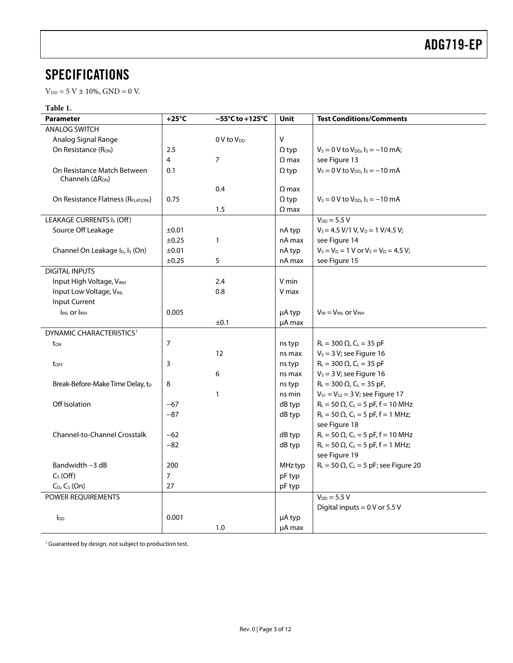### <span id="page-2-0"></span>**SPECIFICATIONS**

 $V_{DD} = 5 V \pm 10\%, GND = 0 V.$ 

#### **Table 1.**

| <b>Parameter</b>                                                     | $+25^{\circ}$ C | $-55^{\circ}$ C to +125 $^{\circ}$ C | <b>Unit</b>  | <b>Test Conditions/Comments</b>                          |
|----------------------------------------------------------------------|-----------------|--------------------------------------|--------------|----------------------------------------------------------|
| <b>ANALOG SWITCH</b>                                                 |                 |                                      |              |                                                          |
| Analog Signal Range                                                  |                 | 0 V to V <sub>DD</sub>               | $\vee$       |                                                          |
| On Resistance (Ron)                                                  | 2.5             |                                      | $\Omega$ typ | $V_s = 0$ V to $V_{DD}$ , $I_s = -10$ mA;                |
|                                                                      | 4               | $\overline{7}$                       | $\Omega$ max | see Figure 13                                            |
| On Resistance Match Between<br>Channels ( $\Delta$ R <sub>ON</sub> ) | 0.1             |                                      | $\Omega$ typ | $V_s = 0$ V to $V_{DD}$ , $I_s = -10$ mA                 |
|                                                                      |                 | 0.4                                  | $\Omega$ max |                                                          |
| On Resistance Flatness (RFLAT(ON))                                   | 0.75            |                                      | $\Omega$ typ | $V_s = 0 V$ to $V_{DD}$ , $I_s = -10$ mA                 |
|                                                                      |                 | 1.5                                  | $\Omega$ max |                                                          |
| LEAKAGE CURRENTS Is (Off)                                            |                 |                                      |              | $V_{DD} = 5.5 V$                                         |
| Source Off Leakage                                                   | ±0.01           |                                      | nA typ       | $V_s = 4.5 V/1 V, V_D = 1 V/4.5 V;$                      |
|                                                                      | $\pm 0.25$      | 1                                    | nA max       | see Figure 14                                            |
| Channel On Leakage I <sub>D</sub> , I <sub>S</sub> (On)              | ±0.01           |                                      | nA typ       | $V_S = V_D = 1$ V or $V_S = V_D = 4.5$ V;                |
|                                                                      | $\pm 0.25$      | 5                                    | nA max       | see Figure 15                                            |
| <b>DIGITAL INPUTS</b>                                                |                 |                                      |              |                                                          |
| Input High Voltage, VINH                                             |                 | 2.4                                  | V min        |                                                          |
| Input Low Voltage, VINL                                              |                 | 0.8                                  | V max        |                                                          |
| Input Current                                                        |                 |                                      |              |                                                          |
| <b>IINL Or IINH</b>                                                  | 0.005           |                                      | µA typ       | $V_{IN} = V_{INL}$ or $V_{INH}$                          |
|                                                                      |                 | ±0.1                                 | µA max       |                                                          |
| DYNAMIC CHARACTERISTICS <sup>1</sup>                                 |                 |                                      |              |                                                          |
| t <sub>on</sub>                                                      | 7               |                                      | ns typ       | $R_L = 300 \Omega$ , $C_L = 35 pF$                       |
|                                                                      |                 | 12                                   | ns max       | $V_s = 3 V$ ; see Figure 16                              |
| t <sub>OFF</sub>                                                     | 3               |                                      | ns typ       | $R_L = 300 \Omega$ , $C_L = 35 pF$                       |
|                                                                      |                 | 6                                    | ns max       | $V_s = 3 V$ ; see Figure 16                              |
| Break-Before-Make Time Delay, tD                                     | 8               |                                      | ns typ       | $R_L = 300 \Omega$ , C <sub>L</sub> = 35 pF,             |
|                                                                      |                 | $\mathbf{1}$                         | ns min       | $V_{S1} = V_{S2} = 3 V$ ; see Figure 17                  |
| Off Isolation                                                        | $-67$           |                                      | dB typ       | $R_L = 50 \Omega$ , C <sub>L</sub> = 5 pF, f = 10 MHz    |
|                                                                      | $-87$           |                                      | dB typ       | $R_L = 50 \Omega$ , C <sub>L</sub> = 5 pF, f = 1 MHz;    |
|                                                                      |                 |                                      |              | see Figure 18                                            |
| <b>Channel-to-Channel Crosstalk</b>                                  | $-62$           |                                      | dB typ       | $R_L = 50 \Omega$ , C <sub>L</sub> = 5 pF, f = 10 MHz    |
|                                                                      | $-82$           |                                      | dB typ       | $R_L = 50 \Omega$ , C <sub>L</sub> = 5 pF, f = 1 MHz;    |
|                                                                      |                 |                                      |              | see Figure 19                                            |
| Bandwidth -3 dB                                                      | 200             |                                      | MHz typ      | $R_L = 50 \Omega$ , C <sub>L</sub> = 5 pF; see Figure 20 |
| $CS$ (Off)                                                           | $\overline{7}$  |                                      | pF typ       |                                                          |
| $C_D$ , $C_S$ (On)                                                   | 27              |                                      | pF typ       |                                                          |
| POWER REQUIREMENTS                                                   |                 |                                      |              | $V_{DD} = 5.5 V$                                         |
|                                                                      |                 |                                      |              | Digital inputs = $0$ V or 5.5 V                          |
| <b>I</b> <sub>DD</sub>                                               | 0.001           |                                      | µA typ       |                                                          |
|                                                                      |                 | 1.0                                  | µA max       |                                                          |

<sup>1</sup> Guaranteed by design, not subject to production test.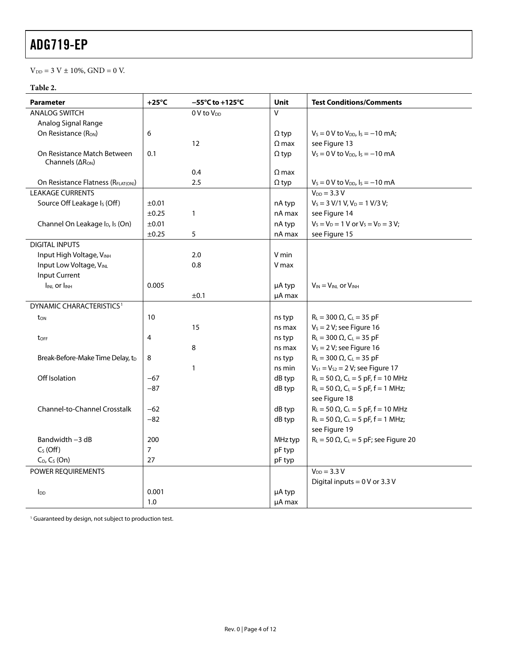$\mathrm{V_{DD}} = 3$  V  $\pm$  10%, GND  $=0$  V.

#### **Table 2.**

| <b>Parameter</b>                                            | $+25^{\circ}$ C | $-55^{\circ}$ C to +125 $^{\circ}$ C | <b>Unit</b>  | <b>Test Conditions/Comments</b>                            |
|-------------------------------------------------------------|-----------------|--------------------------------------|--------------|------------------------------------------------------------|
| <b>ANALOG SWITCH</b>                                        |                 | 0 V to V <sub>DD</sub>               | $\vee$       |                                                            |
| Analog Signal Range                                         |                 |                                      |              |                                                            |
| On Resistance (Ron)                                         | 6               |                                      | $\Omega$ typ | $V_s = 0$ V to $V_{DD}$ , $I_s = -10$ mA;                  |
|                                                             |                 | 12                                   | $\Omega$ max | see Figure 13                                              |
| On Resistance Match Between<br>Channels $( \Delta R_{ON} )$ | 0.1             |                                      | $\Omega$ typ | $V_s = 0$ V to $V_{DD}$ , $I_s = -10$ mA                   |
|                                                             |                 | 0.4                                  | $\Omega$ max |                                                            |
| On Resistance Flatness (RFLAT(ON))                          |                 | 2.5                                  | $\Omega$ typ | $V_s = 0$ V to $V_{DD}$ , $I_s = -10$ mA                   |
| <b>LEAKAGE CURRENTS</b>                                     |                 |                                      |              | $V_{DD} = 3.3 V$                                           |
| Source Off Leakage Is (Off)                                 | ±0.01           |                                      | nA typ       | $V_s = 3 V/1 V, V_D = 1 V/3 V;$                            |
|                                                             | ±0.25           | $\mathbf{1}$                         | nA max       | see Figure 14                                              |
| Channel On Leakage I <sub>D</sub> , I <sub>s</sub> (On)     | ±0.01           |                                      | nA typ       | $V_S = V_D = 1$ V or $V_S = V_D = 3$ V;                    |
|                                                             | ±0.25           | 5                                    | nA max       | see Figure 15                                              |
| <b>DIGITAL INPUTS</b>                                       |                 |                                      |              |                                                            |
| Input High Voltage, VINH                                    |                 | 2.0                                  | V min        |                                                            |
| Input Low Voltage, VINL                                     |                 | 0.8                                  | V max        |                                                            |
| Input Current                                               |                 |                                      |              |                                                            |
| <b>IINL OF IINH</b>                                         | 0.005           |                                      | µA typ       | $V_{IN} = V_{INL}$ or $V_{INH}$                            |
|                                                             |                 | ±0.1                                 | µA max       |                                                            |
| DYNAMIC CHARACTERISTICS <sup>1</sup>                        |                 |                                      |              |                                                            |
| $t_{ON}$                                                    | 10              |                                      | ns typ       | $R_L = 300 \Omega$ , C <sub>L</sub> = 35 pF                |
|                                                             |                 | 15                                   | ns max       | $V_s = 2 V$ ; see Figure 16                                |
| toff                                                        | 4               |                                      | ns typ       | $R_L = 300 \Omega$ , $C_L = 35 pF$                         |
|                                                             |                 | 8                                    | ns max       | $V_s = 2 V$ ; see Figure 16                                |
| Break-Before-Make Time Delay, t <sub>D</sub>                | 8               |                                      | ns typ       | $R_L = 300 \Omega$ , C <sub>L</sub> = 35 pF                |
|                                                             |                 | $\mathbf{1}$                         | ns min       | $V_{S1} = V_{S2} = 2 V$ ; see Figure 17                    |
| Off Isolation                                               | $-67$           |                                      | dB typ       | $R_L = 50 \Omega$ , C <sub>L</sub> = 5 pF, f = 10 MHz      |
|                                                             | $-87$           |                                      | dB typ       | $R_L = 50 \Omega$ , $C_L = 5 pF$ , f = 1 MHz;              |
|                                                             |                 |                                      |              | see Figure 18                                              |
| Channel-to-Channel Crosstalk                                | $-62$           |                                      | dB typ       | $R_L = 50 \Omega$ , C <sub>L</sub> = 5 pF, f = 10 MHz      |
|                                                             | $-82$           |                                      | dB typ       | $R_L = 50 \Omega$ , C <sub>L</sub> = 5 pF, f = 1 MHz;      |
|                                                             |                 |                                      |              | see Figure 19                                              |
| Bandwidth -3 dB                                             | 200             |                                      | MHz typ      | $R_L$ = 50 $\Omega$ , C <sub>L</sub> = 5 pF; see Figure 20 |
| $C_S$ (Off)                                                 | 7               |                                      | pF typ       |                                                            |
| $C_D$ , $C_S$ (On)                                          | 27              |                                      | pF typ       |                                                            |
| POWER REQUIREMENTS                                          |                 |                                      |              | $V_{DD} = 3.3 V$                                           |
|                                                             |                 |                                      |              | Digital inputs = $0$ V or 3.3 V                            |
| $I_{DD}$                                                    | 0.001           |                                      | µA typ       |                                                            |
|                                                             | 1.0             |                                      | µA max       |                                                            |

<sup>1</sup> Guaranteed by design, not subject to production test.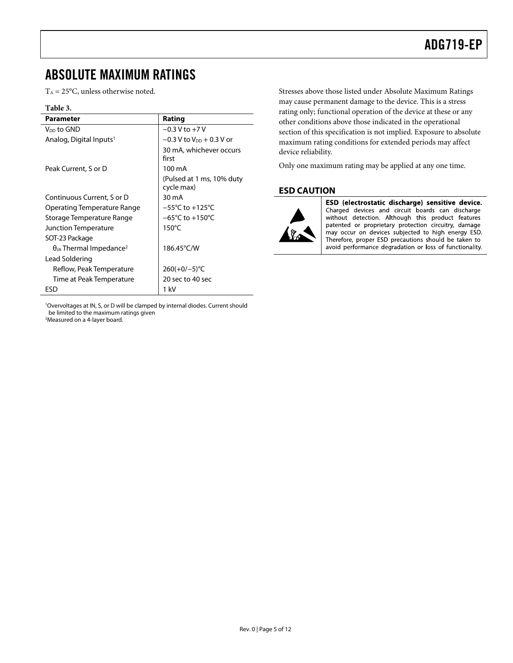#### <span id="page-4-0"></span>ABSOLUTE MAXIMUM RATINGS

 $T_A = 25$ °C, unless otherwise noted.

#### **Table 3.**

| <b>Parameter</b>                             | Rating                                  |
|----------------------------------------------|-----------------------------------------|
| V <sub>DD</sub> to GND                       | $-0.3$ V to $+7$ V                      |
| Analog, Digital Inputs <sup>1</sup>          | $-0.3$ V to $V_{DD}$ + 0.3 V or         |
|                                              | 30 mA, whichever occurs<br>first        |
| Peak Current, S or D                         | 100 mA                                  |
|                                              | (Pulsed at 1 ms, 10% duty<br>cycle max) |
| Continuous Current, S or D                   | 30 mA                                   |
| Operating Temperature Range                  | $-55^{\circ}$ C to $+125^{\circ}$ C     |
| Storage Temperature Range                    | $-65^{\circ}$ C to $+150^{\circ}$ C     |
| Junction Temperature                         | $150^{\circ}$ C                         |
| SOT-23 Package                               |                                         |
| $\theta_{JA}$ Thermal Impedance <sup>2</sup> | 186.45°C/W                              |
| Lead Soldering                               |                                         |
| Reflow, Peak Temperature                     | $260(+0/-5)$ °C                         |
| Time at Peak Temperature                     | 20 sec to 40 sec                        |
| ESD                                          | 1 kV                                    |

1 Overvoltages at IN, S, or D will be clamped by internal diodes. Current should be limited to the maximum ratings given Measured on a 4-layer board.

Stresses above those listed under Absolute Maximum Ratings may cause permanent damage to the device. This is a stress rating only; functional operation of the device at these or any other conditions above those indicated in the operational section of this specification is not implied. Exposure to absolute maximum rating conditions for extended periods may affect device reliability.

Only one maximum rating may be applied at any one time.

#### **ESD CAUTION**



ESD (electrostatic discharge) sensitive device. Charged devices and circuit boards can discharge without detection. Although this product features patented or proprietary protection circuitry, damage may occur on devices subjected to high energy ESD. Therefore, proper ESD precautions should be taken to avoid performance degradation or loss of functionality.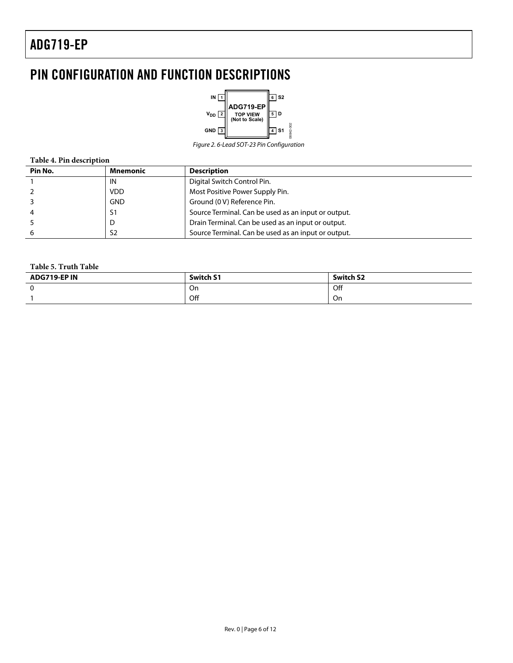# <span id="page-5-0"></span>PIN CONFIGURATION AND FUNCTION DESCRIPTIONS



Figure 2. 6-Lead SOT-23 Pin Configuration

#### **Table 4. Pin description**

| Pin No. | Mnemonic       | <b>Description</b>                                  |
|---------|----------------|-----------------------------------------------------|
|         | IN             | Digital Switch Control Pin.                         |
|         | <b>VDD</b>     | Most Positive Power Supply Pin.                     |
|         | <b>GND</b>     | Ground (0 V) Reference Pin.                         |
|         | S1             | Source Terminal. Can be used as an input or output. |
|         | D              | Drain Terminal. Can be used as an input or output.  |
|         | S <sub>2</sub> | Source Terminal. Can be used as an input or output. |

#### **Table 5. Truth Table**

| ADG719-EP IN | <b>Switch S1</b> | <b>Switch S2</b> |
|--------------|------------------|------------------|
|              | On               | Off              |
|              | Off              | On               |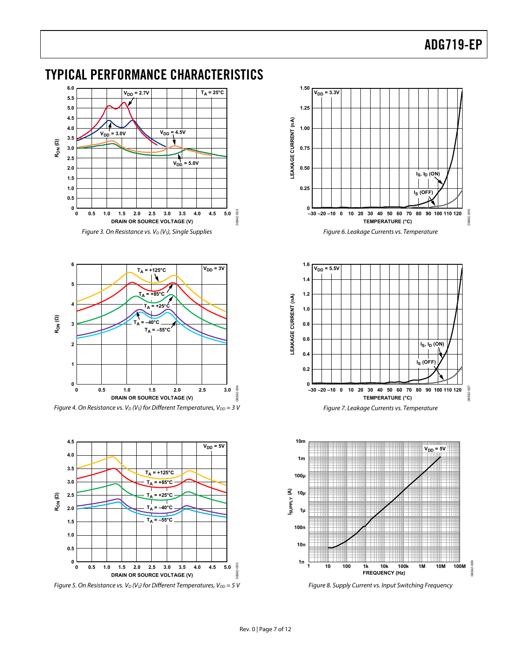### <span id="page-6-0"></span>TYPICAL PERFORMANCE CHARACTERISTICS









Figure 5. On Resistance vs.  $V_D$  (V<sub>S</sub>) for Different Temperatures, V<sub>DD</sub> = 5 V







Figure 8. Supply Current vs. Input Switching Frequency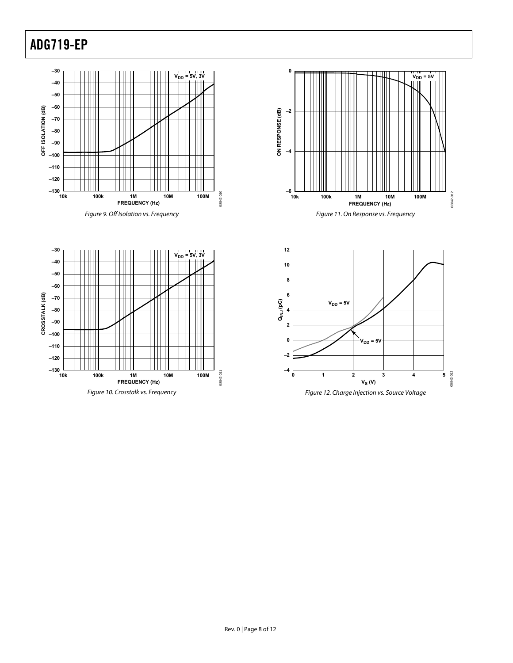**–120**

**–130**

**–110 –100 –90**

**–80 –70 –60 –50 –40 –30**

╥╥

₩

**CROSSTALK (dB)**

CROSSTALK (dB)



 $\mathbb T$ Ш

M

่™

Ш

∭

ШI

11

II

Ш

 $\mathbb{I}$ 





**FREQUENCY (Hz)**

 $V_{DD} = 5V, 3V$ 

08842-011

08842-011

**10k 100k 1M 10M 100M**

Figure 10. Crosstalk vs. Frequency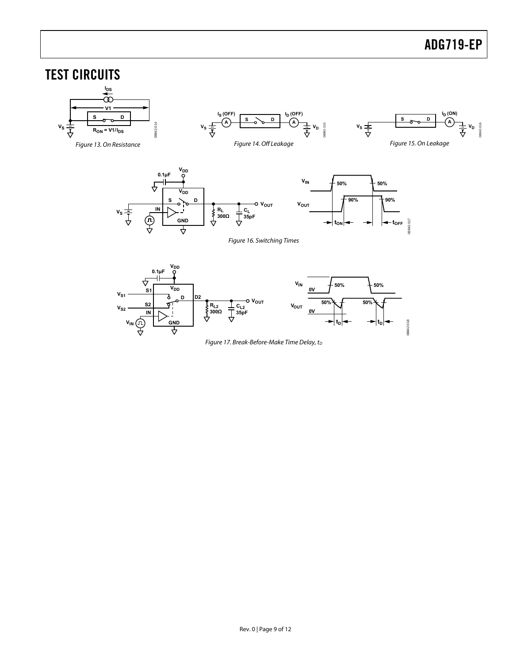#### <span id="page-8-2"></span><span id="page-8-1"></span><span id="page-8-0"></span>TEST CIRCUITS **IDS V1**  $I_S$  (OFF) **ID ID** (OFF) **I<sub>D</sub>** (ON) **S D S D <sup>A</sup> <sup>A</sup>** <u>s</u> <sub>o</sub> o <u>P</u>  $\left| \bigcap_{\mathsf{A}}$  $v_s = 6$  $v_s \frac{1}{\frac{1}{\sqrt{2}}}$   $\frac{1}{\sqrt{2}}$   $\frac{1}{\sqrt{2}}$   $\frac{1}{\sqrt{2}}$   $\frac{1}{\sqrt{2}}$   $\frac{1}{\sqrt{2}}$   $\frac{1}{\sqrt{2}}$  $V_S \frac{1}{I}$  **R**<sub>ON</sub> = V1/I<sub>DS</sub> 8842-014 08842-014 08842-016 08842-015 Figure 13. On Resistance Figure 14. Off Leakage Figure 15. On Leakage **V**<sub>DD</sub> **0.1µF**  $V_{IN}$   $\neq$  50%  $\bigoplus$  50% ₽  $\overline{\mathsf{v}}_\mathsf{DD}$ **90% 90% S**  $\sqrt{9}$  <u>D</u> **VOUT VOUT**  $\bigoplus_{\mathbf{N}}^{\mathbf{N}}$ **RL 300Ω VS CL 35pF GND** 2-017 08842-017  $|t_{\text{ON}}| \leftarrow$   $\rightarrow$   $|$   $\leftarrow$   $t_{\text{OFF}}$ ₹ Figure 16. Switching Times

<span id="page-8-4"></span><span id="page-8-3"></span>

Figure 17. Break-Before-Make Time Delay,  $t_D$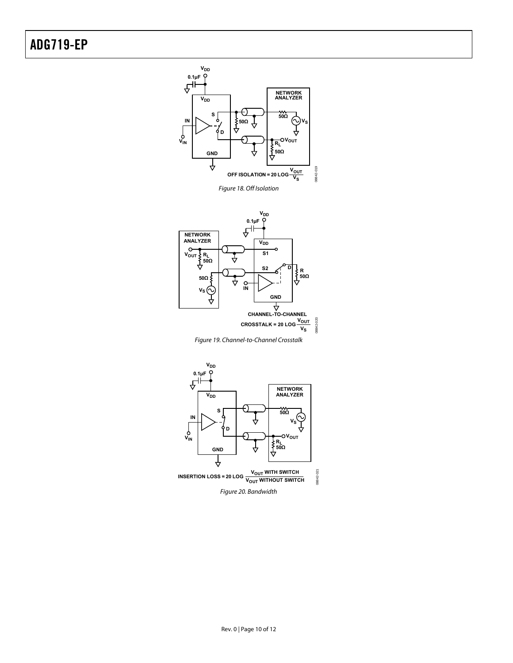

Figure 18. Off Isolation

<span id="page-9-0"></span>

Figure 19. Channel-to-Channel Crosstalk

<span id="page-9-2"></span><span id="page-9-1"></span>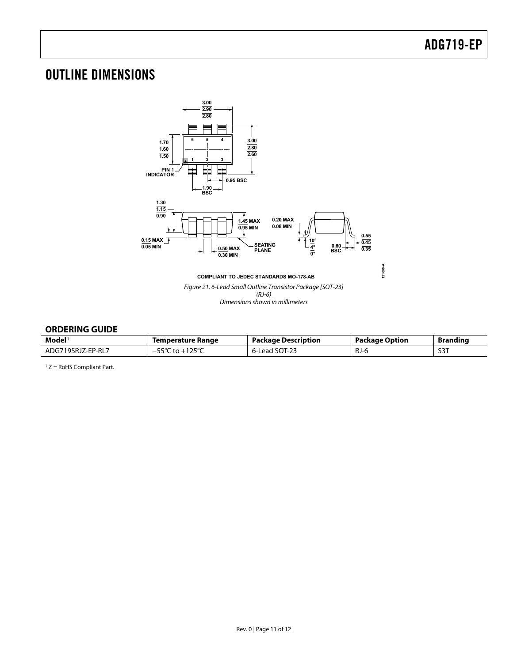# <span id="page-10-0"></span>OUTLINE DIMENSIONS



#### <span id="page-10-1"></span>**ORDERING GUIDE**

| $\mathsf{Model}^1$ | Temperature Range               | <b>Package Description</b> | Package Option | <b>Branding</b>  |
|--------------------|---------------------------------|----------------------------|----------------|------------------|
| ADG719SRJZ-EP-RL7  | .125°C<br>$55^{\circ}$ C to $+$ | 6-Lead SOT-23              | RJ-6           | S <sub>3</sub> T |

 $1 Z =$  RoHS Compliant Part.